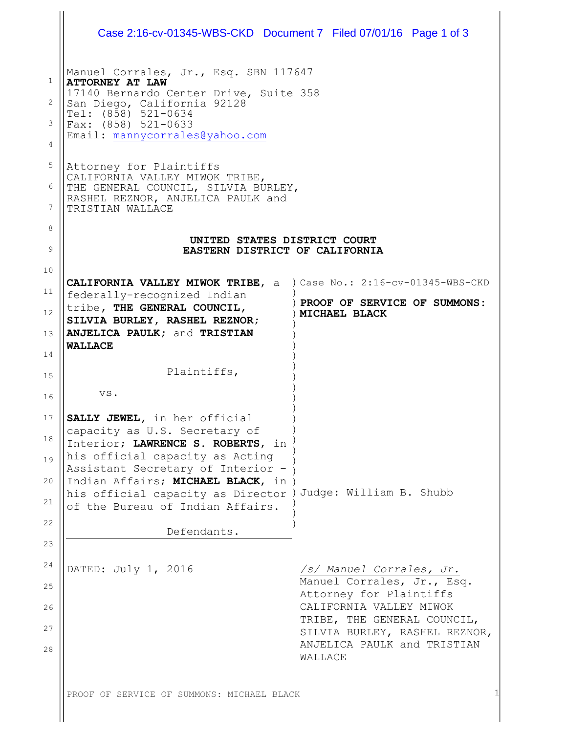| Case 2:16-cv-01345-WBS-CKD Document 7 Filed 07/01/16 Page 1 of 3       |                                                                                                        |
|------------------------------------------------------------------------|--------------------------------------------------------------------------------------------------------|
| Manuel Corrales, Jr., Esq. SBN 117647<br><b>ATTORNEY AT LAW</b>        |                                                                                                        |
| 17140 Bernardo Center Drive, Suite 358                                 |                                                                                                        |
| San Diego, California 92128                                            |                                                                                                        |
| Tel: (858) 521-0634<br>Fax: (858) 521-0633                             |                                                                                                        |
| Email: mannycorrales@yahoo.com                                         |                                                                                                        |
|                                                                        |                                                                                                        |
| Attorney for Plaintiffs<br>CALIFORNIA VALLEY MIWOK TRIBE,              |                                                                                                        |
| THE GENERAL COUNCIL, SILVIA BURLEY,                                    |                                                                                                        |
| RASHEL REZNOR, ANJELICA PAULK and<br>TRISTIAN WALLACE                  |                                                                                                        |
|                                                                        |                                                                                                        |
| UNITED STATES DISTRICT COURT                                           |                                                                                                        |
| EASTERN DISTRICT OF CALIFORNIA                                         |                                                                                                        |
|                                                                        |                                                                                                        |
| CALIFORNIA VALLEY MIWOK TRIBE, a ) Case No.: 2:16-cv-01345-WBS-CKD     |                                                                                                        |
| federally-recognized Indian<br>tribe, THE GENERAL COUNCIL,             | ) PROOF OF SERVICE OF SUMMONS:                                                                         |
| SILVIA BURLEY, RASHEL REZNOR;                                          | MICHAEL BLACK                                                                                          |
| ANJELICA PAULK; and TRISTIAN                                           |                                                                                                        |
| <b>WALLACE</b>                                                         |                                                                                                        |
| Plaintiffs,                                                            |                                                                                                        |
| VS.                                                                    |                                                                                                        |
| SALLY JEWEL, in her official                                           |                                                                                                        |
| capacity as U.S. Secretary of                                          |                                                                                                        |
| Interior; LAWRENCE S. ROBERTS, in                                      |                                                                                                        |
| his official capacity as Acting                                        |                                                                                                        |
| Assistant Secretary of Interior -<br>Indian Affairs; MICHAEL BLACK, in |                                                                                                        |
| his official capacity as Director ) Judge: William B. Shubb            |                                                                                                        |
| of the Bureau of Indian Affairs.                                       |                                                                                                        |
| Defendants.                                                            |                                                                                                        |
|                                                                        |                                                                                                        |
|                                                                        |                                                                                                        |
|                                                                        |                                                                                                        |
| DATED: July 1, 2016                                                    | /s/ Manuel Corrales, Jr.                                                                               |
|                                                                        | Manuel Corrales, Jr., Esq.<br>Attorney for Plaintiffs                                                  |
|                                                                        | CALIFORNIA VALLEY MIWOK                                                                                |
|                                                                        |                                                                                                        |
|                                                                        |                                                                                                        |
|                                                                        | TRIBE, THE GENERAL COUNCIL,<br>SILVIA BURLEY, RASHEL REZNOR,<br>ANJELICA PAULK and TRISTIAN<br>WALLACE |

PROOF OF SERVICE OF SUMMONS: MICHAEL BLACK 1

 $\mathbb{I}$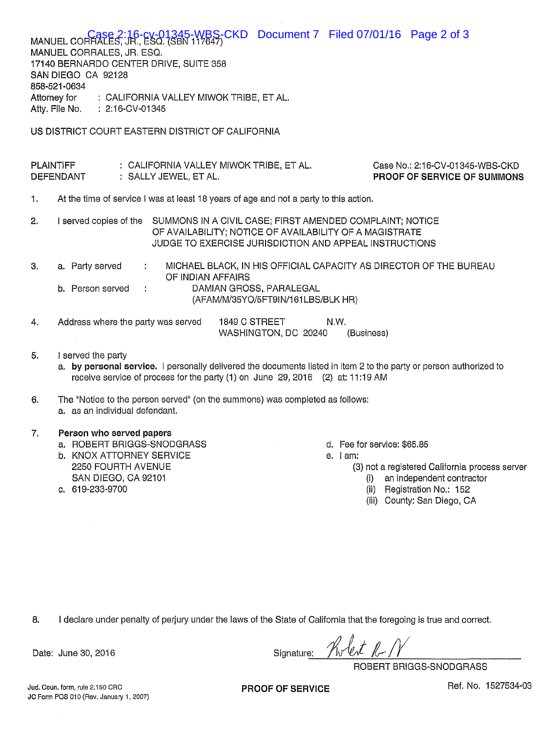MANUEL CORRALES, JR., ESQ. (SBN 117647)<br>MANUEL CORRALES, JR., ESQ. (SBN 117647) MANUEL CORRALES, JR. ESQ. 17140 BERNARDO CENTER DRIVE, SUITE 358 SAN DIEGO CA 92128 858-521-0634 Attorney for : CALIFORNIA VALLEY MIWOK TRIBE, ET AL. Atty. Flie No. : 2:16-CV-01345 US DISTRICT COURT EASTERN DISTRICT OF CALIFORNIA **PLAINTIFF** : CALIFORNIA VALLEY MIWOK TRIBE, ET AL. Case No.: 2:16-CV-01345-WBS-CKD **DEFENDANT** : SALLY JEWEL, ET AL. PROOF OF SERVICE OF SUMMONS  $\mathbf 1$ . At the time of service I was at least 18 years of age and not a party to this action.  $2.$ I served copies of the SUMMONS IN A CIVIL CASE; FIRST AMENDED COMPLAINT; NOTICE OF AVAILABILITY; NOTICE OF AVAILABILITY OF A MAGISTRATE JUDGE TO EXERCISE JURISDICTION AND APPEAL INSTRUCTIONS 3. MICHAEL BLACK, IN HIS OFFICIAL CAPACITY AS DIRECTOR OF THE BUREAU a. Party served  $\overline{\mathbf{r}}$ OF INDIAN AFFAIRS DAMIAN GROSS, PARALEGAL b. Person served (AFAM/M/35YO/5FT9IN/161LBS/BLK HR)

- Address where the party was served 1849 C STREET  $\overline{4}$ . N.W. WASHINGTON, DC 20240 (Business)
- I served the party 5.
	- a. by personal service. I personally delivered the documents listed in item 2 to the party or person authorized to receive service of process for the party (1) on June 29, 2016 (2) at: 11:19 AM

The "Notice to the person served" (on the summons) was completed as follows: 6. a. as an individual defendant.

## 7. Person who served papers

- a. ROBERT BRIGGS-SNODGRASS
- **b. KNOX ATTORNEY SERVICE** 2250 FOURTH AVENUE SAN DIEGO, CA 92101
- c. 619-233-9700
- d. Fee for service: \$65.85
- e. lam:
	- (3) not a registered California process server
		- (i) an independent contractor
		- (ii) Registration No.: 152
		- (iii) County: San Diego, CA

8. I declare under penalty of perjury under the laws of the State of California that the foregoing is true and correct.

Signature:

ROBERT BRIGGS-SNODGRASS

Jud. Coun. form, rule 2.150 CRC JC Form POS 010 (Rev. January 1, 2007)

Date: June 30, 2016

PROOF OF SERVICE

Ref. No. 1527534-03